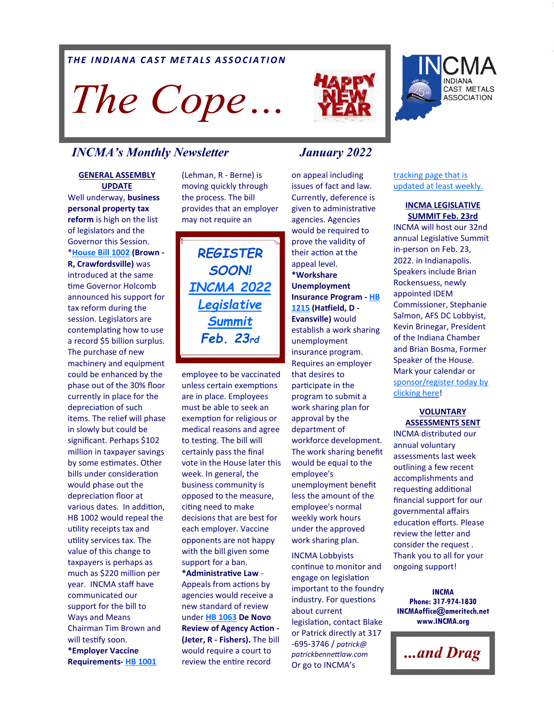## *THE INDIANA CAST METALS ASSOCIATION*

The Cope...

## *INCMA's Monthly Newsletter January 2022*

### **GENERAL ASSEMBLY UPDATE**

Well underway, **business personal property tax reform** is high on the list of legislators and the Governor this Session. \***[House Bill 1002](http://iga.in.gov/legislative/2022/bills/house/1002#document-79ee5ca0) (Brown - R, Crawfordsville)** was introduced at the same time Governor Holcomb announced his support for tax reform during the session. Legislators are contemplating how to use a record \$5 billion surplus. The purchase of new machinery and equipment could be enhanced by the phase out of the 30% floor currently in place for the depreciation of such items. The relief will phase in slowly but could be significant. Perhaps \$102 million in taxpayer savings by some estimates. Other bills under consideration would phase out the depreciation floor at various dates. In addition, HB 1002 would repeal the utility receipts tax and utility services tax. The value of this change to taxpayers is perhaps as much as \$220 million per year. INCMA staff have communicated our support for the bill to Ways and Means Chairman Tim Brown and will testify soon. **\*Employer Vaccine Requirements- [HB 1001](http://iga.in.gov/legislative/2022/bills/house/1001#document-e883fd44)**

(Lehman, R - Berne) is moving quickly through the process. The bill provides that an employer may not require an

*REGISTER SOON! [INCMA 2022](https://www.incma.org/2022-legislative-summit.html)  [Legislative](https://www.incma.org/2022-legislative-summit.html)  [Summit](https://www.incma.org/2022-legislative-summit.html) Feb. 23rd*

employee to be vaccinated unless certain exemptions are in place. Employees must be able to seek an exemption for religious or medical reasons and agree to testing. The bill will certainly pass the final vote in the House later this week. In general, the business community is opposed to the measure, citing need to make decisions that are best for each employer. Vaccine opponents are not happy with the bill given some support for a ban. **\*Administrative Law** - Appeals from actions by agencies would receive a new standard of review under **[HB 1063](http://iga.in.gov/legislative/2022/bills/house/1063) De Novo Review of Agency Action - (Jeter, R - Fishers).** The bill would require a court to review the entire record

on appeal including issues of fact and law. Currently, deference is given to administrative agencies. Agencies would be required to prove the validity of their action at the appeal level. **\*Workshare Unemployment Insurance Program - [HB](http://iga.in.gov/legislative/2022/bills/house/1215)  [1215](http://iga.in.gov/legislative/2022/bills/house/1215) (Hatfield, D - Evansville)** would establish a work sharing unemployment insurance program. Requires an employer that desires to participate in the program to submit a work sharing plan for approval by the department of workforce development. The work sharing benefit would be equal to the employee's unemployment benefit less the amount of the employee's normal weekly work hours under the approved work sharing plan.

INCMA Lobbyists continue to monitor and engage on legislation important to the foundry industry. For questions about current legislation, contact Blake or Patrick directly at 317 -695-3746 / *patrick@ patrickbennettlaw.com*  Or go to INCMA's



[tracking page that is](https://www.incma.org/legislative.html)  [updated at least weekly.](https://www.incma.org/legislative.html) 

## **INCMA LEGISLATIVE SUMMIT Feb. 23rd**

INCMA will host our 32nd annual Legislative Summit in-person on Feb. 23, 2022. in Indianapolis. Speakers include Brian Rockensuess, newly appointed IDEM Commissioner, Stephanie Salmon, AFS DC Lobbyist, Kevin Brinegar, President of the Indiana Chamber and Brian Bosma, Former Speaker of the House. Mark your calendar or [sponsor/register today by](https://www.incma.org/2022-legislative-summit.html)  [clicking here!](https://www.incma.org/2022-legislative-summit.html)

## **VOLUNTARY ASSESSMENTS SENT**

INCMA distributed our annual voluntary assessments last week outlining a few recent accomplishments and requesting additional financial support for our governmental affairs education efforts. Please review the letter and consider the request . Thank you to all for your ongoing support!

**INCMA Phone: 317-974-1830 INCMAoffice@ameritech.net www.INCMA.org**